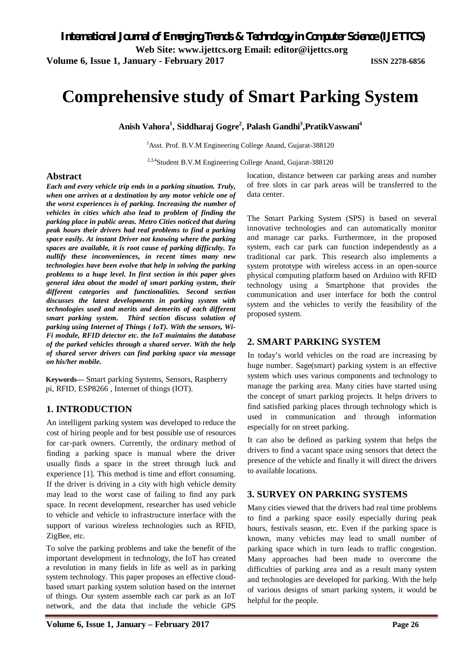**Volume 6, Issue 1, January - February 2017 ISSN 2278-6856**

# **Comprehensive study of Smart Parking System**

**Anish Vahora<sup>1</sup> , Siddharaj Gogre<sup>2</sup> , Palash Gandhi<sup>3</sup> ,PratikVaswani<sup>4</sup>**

<sup>1</sup>Asst. Prof. B.V.M Engineering College Anand, Gujarat-388120

<sup>2,3,4</sup>Student B.V.M Engineering College Anand, Gujarat-388120

### **Abstract**

*Each and every vehicle trip ends in a parking situation. Truly, when one arrives at a destination by any motor vehicle one of the worst experiences is of parking. Increasing the number of vehicles in cities which also lead to problem of finding the parking place in public areas. Metro Cities noticed that during peak hours their drivers had real problems to find a parking space easily. At instant Driver not knowing where the parking spaces are available, it is root cause of parking difficulty. To nullify these inconveniences, in recent times many new technologies have been evolve that help in solving the parking problems to a huge level. In first section in this paper gives general idea about the model of smart parking system, their different categories and functionalities. Second section discusses the latest developments in parking system with technologies used and merits and demerits of each different smart parking system. Third section discuss solution of parking using Internet of Things ( IoT). With the sensors, Wi-Fi module, RFID detector etc. the IoT maintains the database of the parked vehicles through a shared server. With the help of shared server drivers can find parking space via message on his/her mobile.* 

**Keywords—** Smart parking Systems, Sensors, Raspberry pi, RFID, ESP8266 , Internet of things (IOT).

## **1. INTRODUCTION**

An intelligent parking system was developed to reduce the cost of hiring people and for best possible use of resources for car-park owners. Currently, the ordinary method of finding a parking space is manual where the driver usually finds a space in the street through luck and experience [1]. This method is time and effort consuming. If the driver is driving in a city with high vehicle density may lead to the worst case of failing to find any park space. In recent development, researcher has used vehicle to vehicle and vehicle to infrastructure interface with the support of various wireless technologies such as RFID, ZigBee, etc.

To solve the parking problems and take the benefit of the important development in technology, the IoT has created a revolution in many fields in life as well as in parking system technology. This paper proposes an effective cloudbased smart parking system solution based on the internet of things. Our system assemble each car park as an IoT network, and the data that include the vehicle GPS location, distance between car parking areas and number of free slots in car park areas will be transferred to the data center.

The Smart Parking System (SPS) is based on several innovative technologies and can automatically monitor and manage car parks. Furthermore, in the proposed system, each car park can function independently as a traditional car park. This research also implements a system prototype with wireless access in an open-source physical computing platform based on Arduino with RFID technology using a Smartphone that provides the communication and user interface for both the control system and the vehicles to verify the feasibility of the proposed system.

## **2. SMART PARKING SYSTEM**

In today's world vehicles on the road are increasing by huge number. Sage(smart) parking system is an effective system which uses various components and technology to manage the parking area. Many cities have started using the concept of smart parking projects. It helps drivers to find satisfied parking places through technology which is used in communication and through information especially for on street parking.

It can also be defined as parking system that helps the drivers to find a vacant space using sensors that detect the presence of the vehicle and finally it will direct the drivers to available locations.

## **3. SURVEY ON PARKING SYSTEMS**

Many cities viewed that the drivers had real time problems to find a parking space easily especially during peak hours, festivals season, etc. Even if the parking space is known, many vehicles may lead to small number of parking space which in turn leads to traffic congestion. Many approaches had been made to overcome the difficulties of parking area and as a result many system and technologies are developed for parking. With the help of various designs of smart parking system, it would be helpful for the people.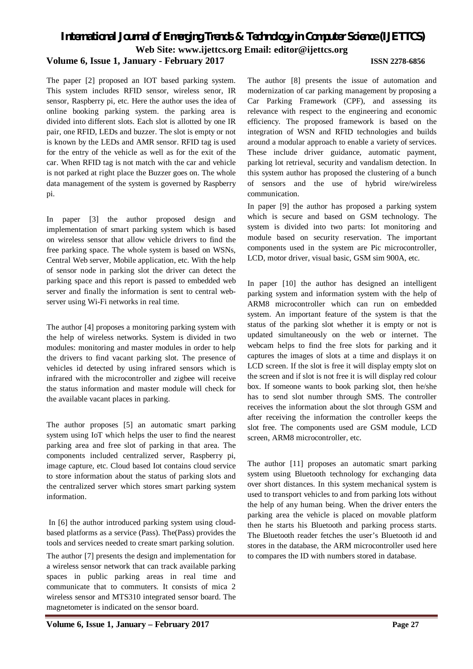## *International Journal of Emerging Trends & Technology in Computer Science (IJETTCS)* **Web Site: www.ijettcs.org Email: editor@ijettcs.org Volume 6, Issue 1, January - February 2017 ISSN 2278-6856**

The paper [2] proposed an IOT based parking system. This system includes RFID sensor, wireless senor, IR sensor, Raspberry pi, etc. Here the author uses the idea of online booking parking system. the parking area is divided into different slots. Each slot is allotted by one IR pair, one RFID, LEDs and buzzer. The slot is empty or not is known by the LEDs and AMR sensor. RFID tag is used for the entry of the vehicle as well as for the exit of the car. When RFID tag is not match with the car and vehicle is not parked at right place the Buzzer goes on. The whole data management of the system is governed by Raspberry pi.

In paper [3] the author proposed design and implementation of smart parking system which is based on wireless sensor that allow vehicle drivers to find the free parking space. The whole system is based on WSNs, Central Web server, Mobile application, etc. With the help of sensor node in parking slot the driver can detect the parking space and this report is passed to embedded web server and finally the information is sent to central webserver using Wi-Fi networks in real time.

The author [4] proposes a monitoring parking system with the help of wireless networks. System is divided in two modules: monitoring and master modules in order to help the drivers to find vacant parking slot. The presence of vehicles id detected by using infrared sensors which is infrared with the microcontroller and zigbee will receive the status information and master module will check for the available vacant places in parking.

The author proposes [5] an automatic smart parking system using IoT which helps the user to find the nearest parking area and free slot of parking in that area. The components included centralized server, Raspberry pi, image capture, etc. Cloud based Iot contains cloud service to store information about the status of parking slots and the centralized server which stores smart parking system information.

In [6] the author introduced parking system using cloudbased platforms as a service (Pass). The(Pass) provides the tools and services needed to create smart parking solution.

The author [7] presents the design and implementation for a wireless sensor network that can track available parking spaces in public parking areas in real time and communicate that to commuters. It consists of mica 2 wireless sensor and MTS310 integrated sensor board. The magnetometer is indicated on the sensor board.

The author [8] presents the issue of automation and modernization of car parking management by proposing a Car Parking Framework (CPF), and assessing its relevance with respect to the engineering and economic efficiency. The proposed framework is based on the integration of WSN and RFID technologies and builds around a modular approach to enable a variety of services. These include driver guidance, automatic payment, parking lot retrieval, security and vandalism detection. In this system author has proposed the clustering of a bunch of sensors and the use of hybrid wire/wireless communication.

In paper [9] the author has proposed a parking system which is secure and based on GSM technology. The system is divided into two parts: Iot monitoring and module based on security reservation. The important components used in the system are Pic microcontroller, LCD, motor driver, visual basic, GSM sim 900A, etc.

In paper [10] the author has designed an intelligent parking system and information system with the help of ARM8 microcontroller which can run on embedded system. An important feature of the system is that the status of the parking slot whether it is empty or not is updated simultaneously on the web or internet. The webcam helps to find the free slots for parking and it captures the images of slots at a time and displays it on LCD screen. If the slot is free it will display empty slot on the screen and if slot is not free it is will display red colour box. If someone wants to book parking slot, then he/she has to send slot number through SMS. The controller receives the information about the slot through GSM and after receiving the information the controller keeps the slot free. The components used are GSM module, LCD screen, ARM8 microcontroller, etc.

The author [11] proposes an automatic smart parking system using Bluetooth technology for exchanging data over short distances. In this system mechanical system is used to transport vehicles to and from parking lots without the help of any human being. When the driver enters the parking area the vehicle is placed on movable platform then he starts his Bluetooth and parking process starts. The Bluetooth reader fetches the user's Bluetooth id and stores in the database, the ARM microcontroller used here to compares the ID with numbers stored in database.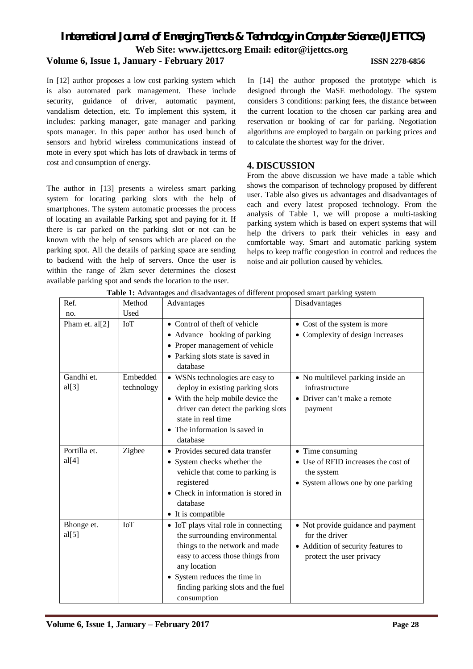## *International Journal of Emerging Trends & Technology in Computer Science (IJETTCS)* **Web Site: www.ijettcs.org Email: editor@ijettcs.org Volume 6, Issue 1, January - February 2017 ISSN 2278-6856**

In [12] author proposes a low cost parking system which is also automated park management. These include security, guidance of driver, automatic payment, vandalism detection, etc. To implement this system, it includes: parking manager, gate manager and parking spots manager. In this paper author has used bunch of sensors and hybrid wireless communications instead of mote in every spot which has lots of drawback in terms of cost and consumption of energy.

The author in [13] presents a wireless smart parking system for locating parking slots with the help of smartphones. The system automatic processes the process of locating an available Parking spot and paying for it. If there is car parked on the parking slot or not can be known with the help of sensors which are placed on the parking spot. All the details of parking space are sending to backend with the help of servers. Once the user is within the range of 2km sever determines the closest available parking spot and sends the location to the user.

In [14] the author proposed the prototype which is designed through the MaSE methodology. The system considers 3 conditions: parking fees, the distance between the current location to the chosen car parking area and reservation or booking of car for parking. Negotiation algorithms are employed to bargain on parking prices and to calculate the shortest way for the driver.

## **4. DISCUSSION**

From the above discussion we have made a table which shows the comparison of technology proposed by different user. Table also gives us advantages and disadvantages of each and every latest proposed technology. From the analysis of Table 1, we will propose a multi-tasking parking system which is based on expert systems that will help the drivers to park their vehicles in easy and comfortable way. Smart and automatic parking system helps to keep traffic congestion in control and reduces the noise and air pollution caused by vehicles.

| Ref.           | Method     | os and disadvantages of unferent proposed sinart parking system<br>Advantages | Disadvantages                       |
|----------------|------------|-------------------------------------------------------------------------------|-------------------------------------|
| no.            | Used       |                                                                               |                                     |
| Pham et. al[2] | <b>IoT</b> | • Control of theft of vehicle                                                 | • Cost of the system is more        |
|                |            | • Advance booking of parking                                                  | • Complexity of design increases    |
|                |            | • Proper management of vehicle                                                |                                     |
|                |            | • Parking slots state is saved in                                             |                                     |
|                |            | database                                                                      |                                     |
| Gandhi et.     | Embedded   | • WSNs technologies are easy to                                               | • No multilevel parking inside an   |
| al[3]          | technology | deploy in existing parking slots                                              | infrastructure                      |
|                |            | • With the help mobile device the                                             | • Driver can't make a remote        |
|                |            | driver can detect the parking slots                                           | payment                             |
|                |            | state in real time                                                            |                                     |
|                |            | • The information is saved in                                                 |                                     |
|                |            | database                                                                      |                                     |
| Portilla et.   | Zigbee     | • Provides secured data transfer                                              | • Time consuming                    |
| al[4]          |            | • System checks whether the                                                   | • Use of RFID increases the cost of |
|                |            | vehicle that come to parking is                                               | the system                          |
|                |            | registered                                                                    | • System allows one by one parking  |
|                |            | • Check in information is stored in                                           |                                     |
|                |            | database                                                                      |                                     |
|                |            | • It is compatible                                                            |                                     |
| Bhonge et.     | IoT        | • IoT plays vital role in connecting                                          | • Not provide guidance and payment  |
| al[5]          |            | the surrounding environmental                                                 | for the driver                      |
|                |            | things to the network and made                                                | • Addition of security features to  |
|                |            | easy to access those things from                                              | protect the user privacy            |
|                |            | any location                                                                  |                                     |
|                |            | • System reduces the time in                                                  |                                     |
|                |            | finding parking slots and the fuel                                            |                                     |
|                |            | consumption                                                                   |                                     |

**Table 1:** Advantages and disadvantages of different proposed smart parking system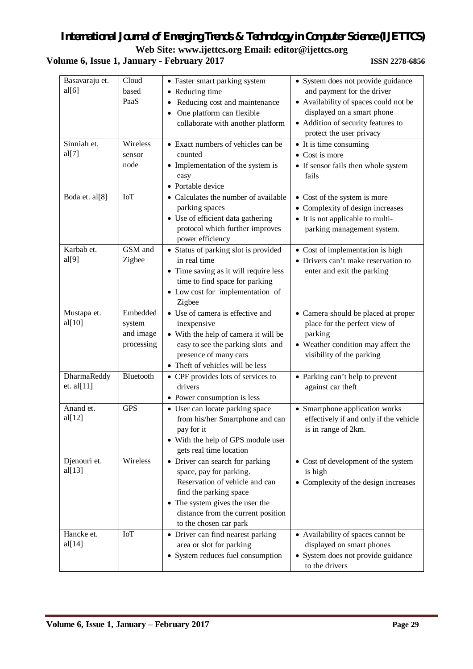## *International Journal of Emerging Trends & Technology in Computer Science (IJETTCS)* **Web Site: www.ijettcs.org Email: editor@ijettcs.org**

## **Volume 6, Issue 1, January - February 2017 ISSN 2278-6856**

| Basavaraju et.<br>al[6]<br>Sinniah et.<br>al[7] | Cloud<br>based<br>PaaS<br>Wireless<br>sensor<br>node | • Faster smart parking system<br>• Reducing time<br>Reducing cost and maintenance<br>One platform can flexible<br>$\bullet$<br>collaborate with another platform<br>• Exact numbers of vehicles can be<br>counted<br>• Implementation of the system is<br>easy | • System does not provide guidance<br>and payment for the driver<br>• Availability of spaces could not be<br>displayed on a smart phone<br>• Addition of security features to<br>protect the user privacy<br>• It is time consuming<br>• Cost is more<br>• If sensor fails then whole system<br>fails |
|-------------------------------------------------|------------------------------------------------------|----------------------------------------------------------------------------------------------------------------------------------------------------------------------------------------------------------------------------------------------------------------|-------------------------------------------------------------------------------------------------------------------------------------------------------------------------------------------------------------------------------------------------------------------------------------------------------|
| Boda et. al[8]                                  | <b>IoT</b>                                           | • Portable device<br>• Calculates the number of available<br>parking spaces<br>• Use of efficient data gathering<br>protocol which further improves<br>power efficiency                                                                                        | • Cost of the system is more<br>• Complexity of design increases<br>• It is not applicable to multi-<br>parking management system.                                                                                                                                                                    |
| Karbab et.<br>al[9]                             | GSM and<br>Zigbee                                    | • Status of parking slot is provided<br>in real time<br>• Time saving as it will require less<br>time to find space for parking<br>• Low cost for implementation of<br>Zigbee                                                                                  | • Cost of implementation is high<br>• Drivers can't make reservation to<br>enter and exit the parking                                                                                                                                                                                                 |
| Mustapa et.<br>al[10]                           | Embedded<br>system<br>and image<br>processing        | • Use of camera is effective and<br>inexpensive<br>• With the help of camera it will be<br>easy to see the parking slots and<br>presence of many cars<br>• Theft of vehicles will be less                                                                      | • Camera should be placed at proper<br>place for the perfect view of<br>parking<br>• Weather condition may affect the<br>visibility of the parking                                                                                                                                                    |
| DharmaReddy<br>et. al[11]                       | Bluetooth                                            | • CPF provides lots of services to<br>drivers<br>• Power consumption is less                                                                                                                                                                                   | • Parking can't help to prevent<br>against car theft                                                                                                                                                                                                                                                  |
| Anand et.<br>al[12]                             | <b>GPS</b>                                           | • User can locate parking space<br>from his/her Smartphone and can<br>pay for it<br>• With the help of GPS module user<br>gets real time location                                                                                                              | • Smartphone application works<br>effectively if and only if the vehicle<br>is in range of 2km.                                                                                                                                                                                                       |
| Djenouri et.<br>al[13]                          | Wireless                                             | • Driver can search for parking<br>space, pay for parking.<br>Reservation of vehicle and can<br>find the parking space<br>• The system gives the user the<br>distance from the current position<br>to the chosen car park                                      | • Cost of development of the system<br>is high<br>• Complexity of the design increases                                                                                                                                                                                                                |
| Hancke et.<br>al[14]                            | <b>IoT</b>                                           | • Driver can find nearest parking<br>area or slot for parking<br>• System reduces fuel consumption                                                                                                                                                             | • Availability of spaces cannot be<br>displayed on smart phones<br>• System does not provide guidance<br>to the drivers                                                                                                                                                                               |